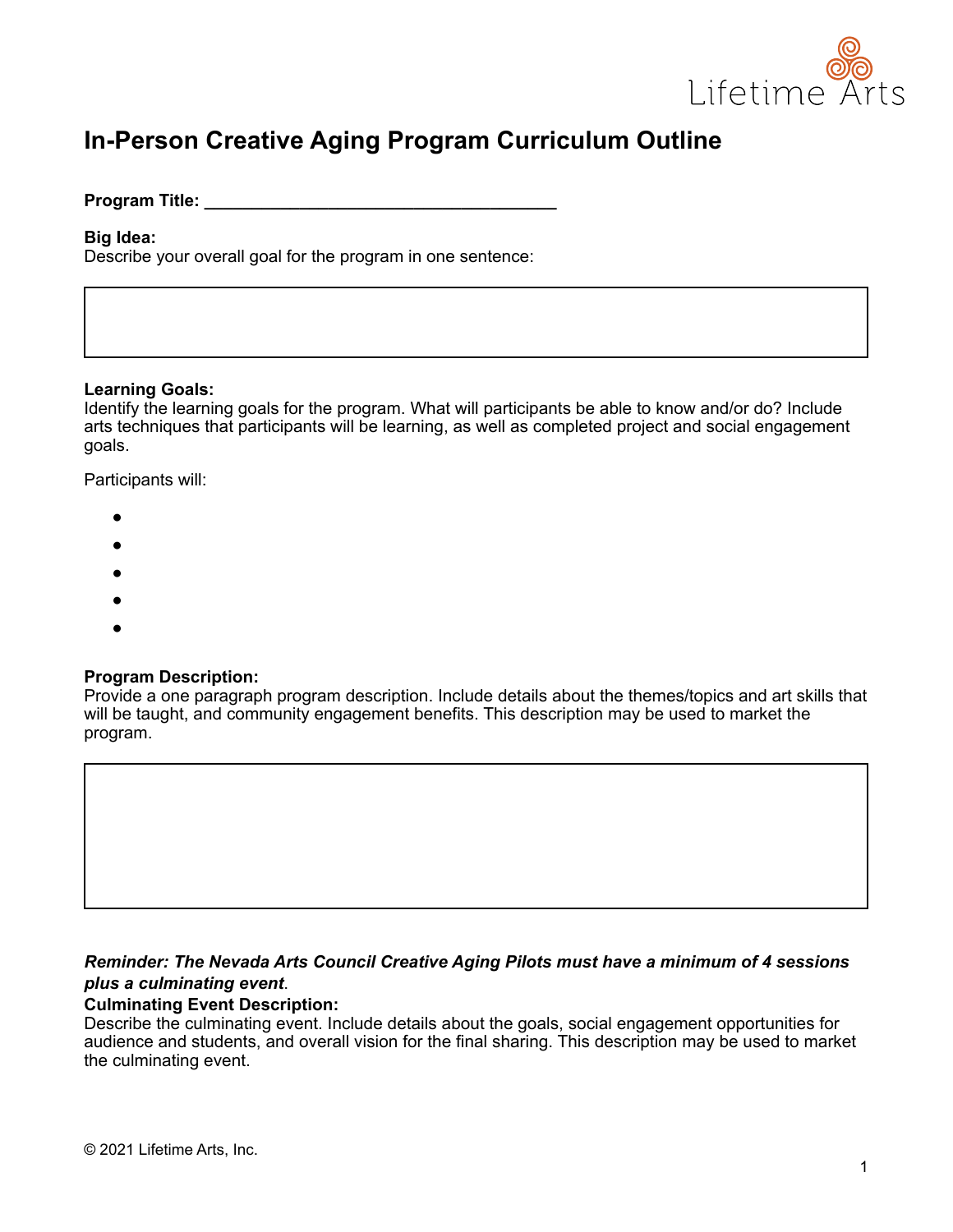

# **In-Person Creative Aging Program Curriculum Outline**

#### **Program Title:** *Program Title:*

#### **Big Idea:**

Describe your overall goal for the program in one sentence:

#### **Learning Goals:**

Identify the learning goals for the program. What will participants be able to know and/or do? Include arts techniques that participants will be learning, as well as completed project and social engagement goals.

Participants will:

- ●
- ●
- 
- ●
- ●
- ●

#### **Program Description:**

Provide a one paragraph program description. Include details about the themes/topics and art skills that will be taught, and community engagement benefits. This description may be used to market the program.

#### *Reminder: The Nevada Arts Council Creative Aging Pilots must have a minimum of 4 sessions plus a culminating event*.

#### **Culminating Event Description:**

Describe the culminating event. Include details about the goals, social engagement opportunities for audience and students, and overall vision for the final sharing. This description may be used to market the culminating event.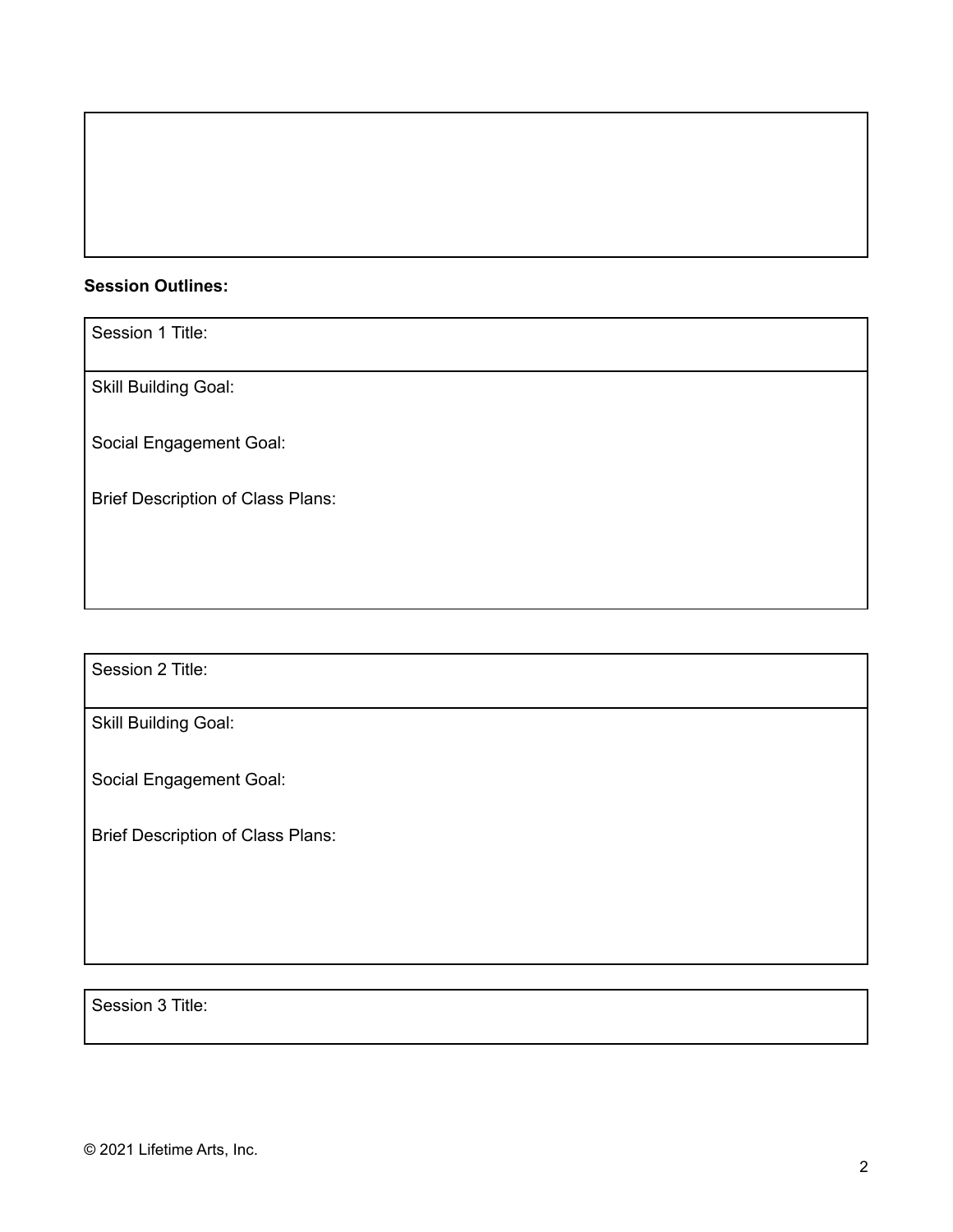## **Session Outlines:**

Session 1 Title:

Skill Building Goal:

Social Engagement Goal:

Brief Description of Class Plans:

Session 2 Title:

Skill Building Goal:

Social Engagement Goal:

Brief Description of Class Plans:

Session 3 Title: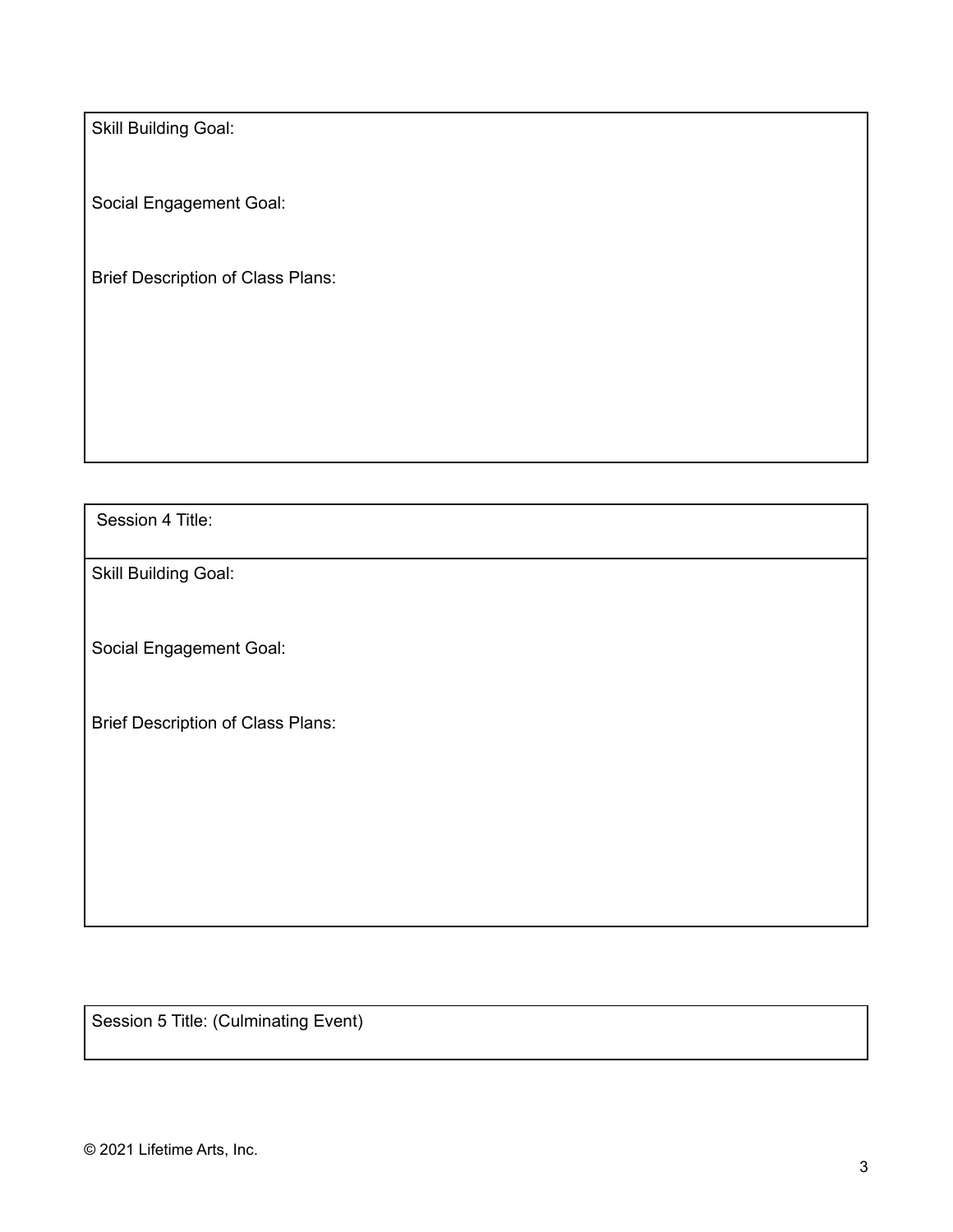Skill Building Goal:

Social Engagement Goal:

Brief Description of Class Plans:

Session 4 Title:

Skill Building Goal:

Social Engagement Goal:

Brief Description of Class Plans:

Session 5 Title: (Culminating Event)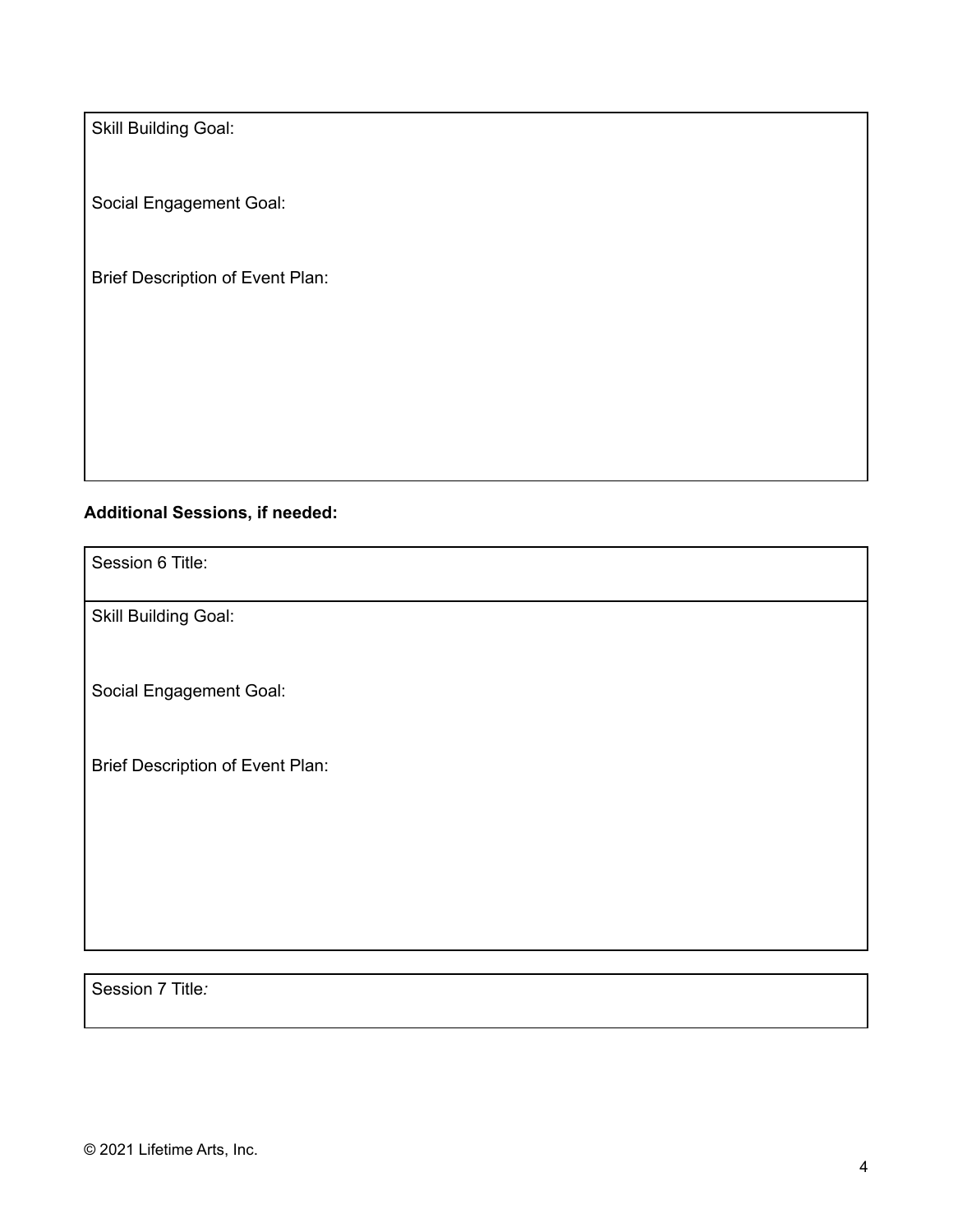Skill Building Goal:

Social Engagement Goal:

Brief Description of Event Plan:

### **Additional Sessions, if needed:**

Session 6 Title:

Skill Building Goal:

Social Engagement Goal:

Brief Description of Event Plan:

Session 7 Title*:*